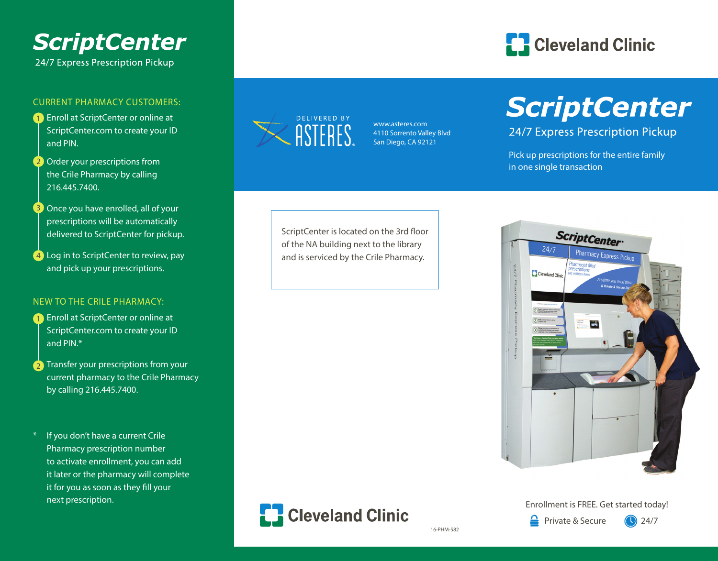# **ScriptCenter**

24/7 Express Prescription Pickup

#### CURRENT PHARMACY CUSTOMERS:

- 1 Enroll at ScriptCenter or online at ScriptCenter.com to create your ID and PIN.
- 2 Order your prescriptions from the Crile Pharmacy by calling 216.445.7400.
- 3 Once you have enrolled, all of your prescriptions will be automatically delivered to ScriptCenter for pickup.
- 4) Log in to ScriptCenter to review, pay and pick up your prescriptions.

#### NEW TO THE CRILE PHARMACY:

- **1** Enroll at ScriptCenter or online at ScriptCenter.com to create your ID and PIN.\*
- **2** Transfer your prescriptions from your current pharmacy to the Crile Pharmacy by calling 216.445.7400.
- \* If you don't have a current Crile Pharmacy prescription number to activate enrollment, you can add it later or the pharmacy will complete it for you as soon as they fill your next prescription.



www.asteres.com 4110 Sorrento Valley Blvd San Diego, CA 92121

### **ED** Cleveland Clinic

## **ScriptCenter**

24/7 Express Prescription Pickup

Pick up prescriptions for the entire family in one single transaction

ScriptCenter is located on the 3rd floor of the NA building next to the library and is serviced by the Crile Pharmacy.





#### Enrollment is FREE. Get started today!

≙

16-PHM-582

Private & Secure 24/7